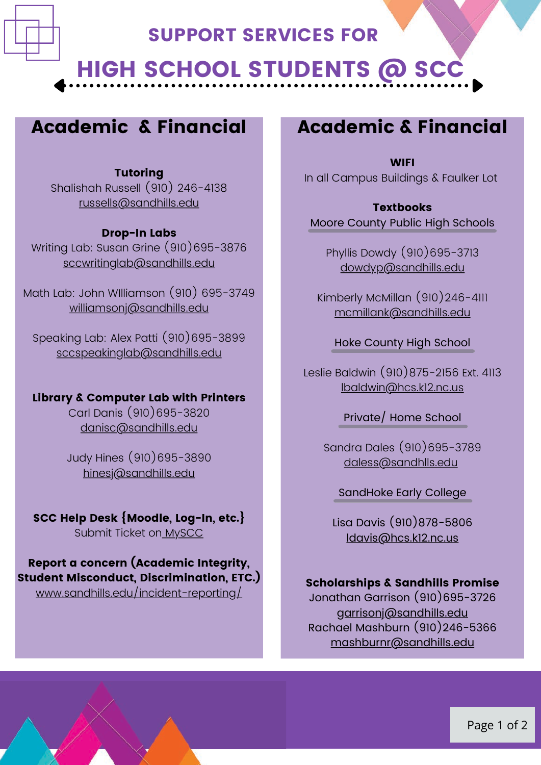

## SUPPORT SERVICES FOR

# **HIGH SCHOOL STUDENTS @ SCC**

# Academic & Financial

### Tutoring

Shalishah Russell (910) 246-4138 [russells@sandhills.edu](mailto:russells@sandhills.edu)

#### Drop-In Labs

Writing Lab: Susan Grine (910)695-3876 [sccwritinglab@sandhills.edu](mailto:sccwritinglab@sandhills.edu)

Math Lab: John WIlliamson (910) 695-3749 [williamsonj@sandhills.edu](mailto:williamsonj@sandhills.edu)

Speaking Lab: Alex Patti (910)695-3899 [sccspeakinglab@sandhills.edu](mailto:sccspeakinglab@sandhills.edu)

### Library & Computer Lab with Printers

Carl Danis (910)695-3820 [danisc@sandhills.edu](mailto:danisc@sandhills.edu)

Judy Hines (910)695-3890 [hinesj@sandhills.edu](mailto:hinesj@sandhills.edu)

## SCC Help Desk {Moodle, Log-In, etc.}

Submit Ticket on [MySCC](https://www.sandhills.edu/myscc/)

### Report a concern (Academic Integrity, Student Misconduct, Discrimination, ETC.)

[www.sandhills.edu/incident-reporting/](http://www.sandhills.edu/incident-reporting/)

## Academic & Financial

**WIFI** In all Campus Buildings & Faulker Lot

### **Textbooks**

Moore County Public High Schools

Phyllis Dowdy (910)695-3713 [dowdyp@sandhills.edu](mailto:dowdyp@sandhills.edu)

Kimberly McMillan (910)246-4111 [mcmillank@sandhills.edu](mailto:mcmillank@sandhills.edu)

Hoke County High School g

Leslie Baldwin (910)875-2156 Ext. 4113 [lbaldwin@hcs.k12.nc.us](mailto:lbaldwin@hcs.k12.nc.us)

Private/ Home School

Sandra Dales (910)695-3789 [daless@sandhlls.edu](mailto:daless@sandhlls.edu)

#### SandHoke Early College

Lisa Davis (910)878-5806 [ldavis@hcs.k12.nc.us](mailto:ldavis@hcs.k12.nc.us)

### Scholarships & Sandhills Promise

Jonathan Garrison (910)695-3726 [garrisonj@sandhills.edu](mailto:garrisonj@sandhills.edu) Rachael Mashburn (910)246-5366 [mashburnr@sandhills.edu](mailto:mashburnr@sandhills.edu)